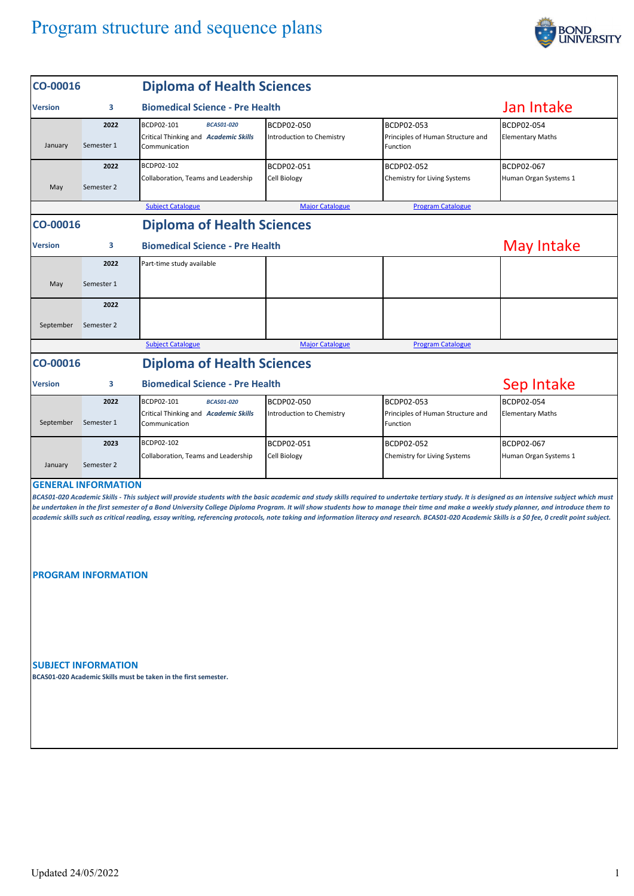## Program structure and sequence plans



| CO-00016       |                            | <b>Diploma of Health Sciences</b>                                                                                                                                                                                                                                                                                                                                                                                                                                                                                                                                                                  |                                         |                                                             |                                       |  |  |  |
|----------------|----------------------------|----------------------------------------------------------------------------------------------------------------------------------------------------------------------------------------------------------------------------------------------------------------------------------------------------------------------------------------------------------------------------------------------------------------------------------------------------------------------------------------------------------------------------------------------------------------------------------------------------|-----------------------------------------|-------------------------------------------------------------|---------------------------------------|--|--|--|
| <b>Version</b> | з                          | <b>Biomedical Science - Pre Health</b>                                                                                                                                                                                                                                                                                                                                                                                                                                                                                                                                                             | Jan Intake                              |                                                             |                                       |  |  |  |
| January        | 2022<br>Semester 1         | BCDP02-101<br><b>BCAS01-020</b><br>Critical Thinking and Academic Skills<br>Communication                                                                                                                                                                                                                                                                                                                                                                                                                                                                                                          | BCDP02-050<br>Introduction to Chemistry | BCDP02-053<br>Principles of Human Structure and<br>Function | BCDP02-054<br><b>Elementary Maths</b> |  |  |  |
| May            | 2022<br>Semester 2         | BCDP02-102<br>Collaboration, Teams and Leadership                                                                                                                                                                                                                                                                                                                                                                                                                                                                                                                                                  | BCDP02-051<br><b>Cell Biology</b>       | BCDP02-052<br>Chemistry for Living Systems                  | BCDP02-067<br>Human Organ Systems 1   |  |  |  |
|                |                            | <b>Subject Catalogue</b>                                                                                                                                                                                                                                                                                                                                                                                                                                                                                                                                                                           | <b>Major Catalogue</b>                  | <b>Program Catalogue</b>                                    |                                       |  |  |  |
| CO-00016       |                            | <b>Diploma of Health Sciences</b>                                                                                                                                                                                                                                                                                                                                                                                                                                                                                                                                                                  |                                         |                                                             |                                       |  |  |  |
| <b>Version</b> | з                          |                                                                                                                                                                                                                                                                                                                                                                                                                                                                                                                                                                                                    | May Intake                              |                                                             |                                       |  |  |  |
|                | 2022                       | Part-time study available                                                                                                                                                                                                                                                                                                                                                                                                                                                                                                                                                                          |                                         |                                                             |                                       |  |  |  |
| May            | Semester 1                 |                                                                                                                                                                                                                                                                                                                                                                                                                                                                                                                                                                                                    |                                         |                                                             |                                       |  |  |  |
|                | 2022                       |                                                                                                                                                                                                                                                                                                                                                                                                                                                                                                                                                                                                    |                                         |                                                             |                                       |  |  |  |
| September      | Semester 2                 |                                                                                                                                                                                                                                                                                                                                                                                                                                                                                                                                                                                                    |                                         |                                                             |                                       |  |  |  |
|                |                            | <b>Subject Catalogue</b>                                                                                                                                                                                                                                                                                                                                                                                                                                                                                                                                                                           | <b>Major Catalogue</b>                  | <b>Program Catalogue</b>                                    |                                       |  |  |  |
| CO-00016       |                            | <b>Diploma of Health Sciences</b>                                                                                                                                                                                                                                                                                                                                                                                                                                                                                                                                                                  |                                         |                                                             |                                       |  |  |  |
| <b>Version</b> | з                          |                                                                                                                                                                                                                                                                                                                                                                                                                                                                                                                                                                                                    | Sep Intake                              |                                                             |                                       |  |  |  |
|                | 2022                       | BCDP02-101<br><b>BCAS01-020</b>                                                                                                                                                                                                                                                                                                                                                                                                                                                                                                                                                                    | BCDP02-050                              | BCDP02-053                                                  | BCDP02-054                            |  |  |  |
| September      | Semester 1                 | Critical Thinking and Academic Skills<br>Communication                                                                                                                                                                                                                                                                                                                                                                                                                                                                                                                                             | Introduction to Chemistry               | Principles of Human Structure and<br>Function               | <b>Elementary Maths</b>               |  |  |  |
| January        | 2023<br>Semester 2         | BCDP02-102<br>Collaboration, Teams and Leadership                                                                                                                                                                                                                                                                                                                                                                                                                                                                                                                                                  | BCDP02-051<br>Cell Biology              | BCDP02-052<br>Chemistry for Living Systems                  | BCDP02-067<br>Human Organ Systems 1   |  |  |  |
|                | <b>GENERAL INFORMATION</b> | BCAS01-020 Academic Skills - This subject will provide students with the basic academic and study skills required to undertake tertiary study. It is designed as an intensive subject which must<br>be undertaken in the first semester of a Bond University College Diploma Program. It will show students how to manage their time and make a weekly study planner, and introduce them to<br>academic skills such as critical reading, essay writing, referencing protocols, note taking and information literacy and research. BCAS01-020 Academic Skills is a \$0 fee, 0 credit point subject. |                                         |                                                             |                                       |  |  |  |
|                | <b>PROGRAM INFORMATION</b> |                                                                                                                                                                                                                                                                                                                                                                                                                                                                                                                                                                                                    |                                         |                                                             |                                       |  |  |  |
|                | <b>SUBJECT INFORMATION</b> | BCAS01-020 Academic Skills must be taken in the first semester.                                                                                                                                                                                                                                                                                                                                                                                                                                                                                                                                    |                                         |                                                             |                                       |  |  |  |